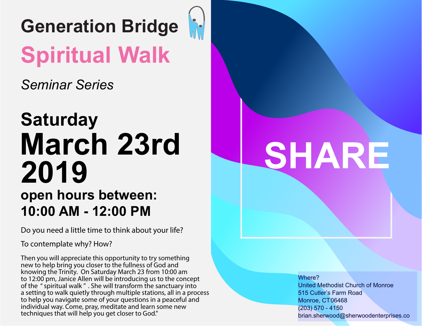

*Seminar Series*

### **Saturday March 23rd 2019 open hours between: 10:00 AM - 12:00 PM**

Do you need a little time to think about your life?

To contemplate why? How?

Then you will appreciate this opportunity to try something new to help bring you closer to the fullness of God and knowing the Trinity. On Saturday March 23 from 10:00 am to 12:00 pm, Janice Allen will be introducing us to the concept of the "spiritual walk " . She will transform the sanctuary into a setting to walk quietly through multiple stations, all in a process to help you navigate some of your questions in a peaceful and individual way. Come, pray, meditate and learn some new techniques that will help you get closer to God."

# SHARE

Where? United Methodist Church of Monroe 515 Cutler's Farm Road Monroe, CT 06468 (203) 570 - 4150 brian.sherwood@sherwoodenterprises.co